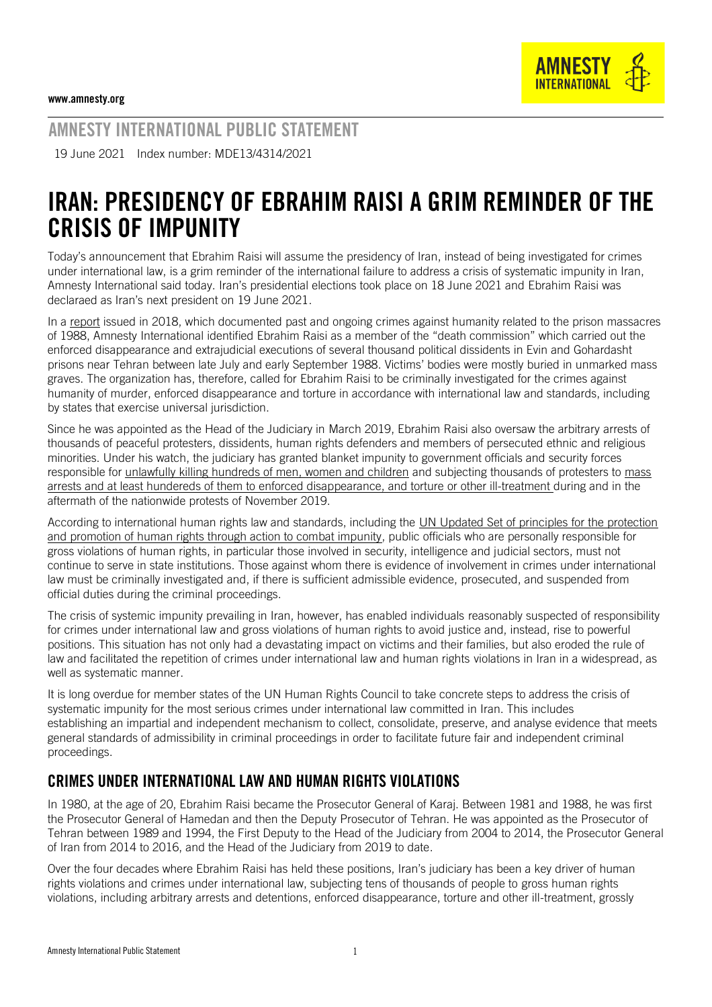

AMNESTY INTERNATIONAL PUBLIC STATEMENT

19 June 2021 Index number: MDE13/4314/2021

## IRAN: PRESIDENCY OF EBRAHIM RAISI A GRIM REMINDER OF THE CRISIS OF IMPUNITY

Today's announcement that Ebrahim Raisi will assume the presidency of Iran, instead of being investigated for crimes under international law, is a grim reminder of the international failure to address a crisis of systematic impunity in Iran, Amnesty International said today. Iran's presidential elections took place on 18 June 2021 and Ebrahim Raisi was declaraed as Iran's next president on 19 June 2021.

In a [report](https://www.amnesty.org/en/documents/mde13/9421/2018/en/) issued in 2018, which documented past and ongoing crimes against humanity related to the prison massacres of 1988, Amnesty International identified Ebrahim Raisi as a member of the "death commission" which carried out the enforced disappearance and extrajudicial executions of several thousand political dissidents in Evin and Gohardasht prisons near Tehran between late July and early September 1988. Victims' bodies were mostly buried in unmarked mass graves. The organization has, therefore, called for Ebrahim Raisi to be criminally investigated for the crimes against humanity of murder, enforced disappearance and torture in accordance with international law and standards, including by states that exercise universal jurisdiction.

Since he was appointed as the Head of the Judiciary in March 2019, Ebrahim Raisi also oversaw the arbitrary arrests of thousands of peaceful protesters, dissidents, human rights defenders and members of persecuted ethnic and religious minorities. Under his watch, the judiciary has granted blanket impunity to government officials and security forces responsible for [unlawfully killing hundreds of men, women and children](https://iran-shutdown.amnesty.org/) and subjecting thousands of protesters to mass arrests and at least hundereds of them to [enforced disappearance, and torture](https://www.amnesty.org/en/documents/mde13/2891/2020/en/) or other ill-treatment during and in the aftermath of the nationwide protests of November 2019.

According to international human rights law and standards, including the [UN Updated Set of principles for the protection](https://undocs.org/E/CN.4/2005/102/Add.1)  [and promotion of human rights through action to combat impunity,](https://undocs.org/E/CN.4/2005/102/Add.1) public officials who are personally responsible for gross violations of human rights, in particular those involved in security, intelligence and judicial sectors, must not continue to serve in state institutions. Those against whom there is evidence of involvement in crimes under international law must be criminally investigated and, if there is sufficient admissible evidence, prosecuted, and suspended from official duties during the criminal proceedings.

The crisis of systemic impunity prevailing in Iran, however, has enabled individuals reasonably suspected of responsibility for crimes under international law and gross violations of human rights to avoid justice and, instead, rise to powerful positions. This situation has not only had a devastating impact on victims and their families, but also eroded the rule of law and facilitated the repetition of crimes under international law and human rights violations in Iran in a widespread, as well as systematic manner.

It is long overdue for member states of the UN Human Rights Council to take concrete steps to address the crisis of systematic impunity for the most serious crimes under international law committed in Iran. This includes establishing an impartial and independent mechanism to collect, consolidate, preserve, and analyse evidence that meets general standards of admissibility in criminal proceedings in order to facilitate future fair and independent criminal proceedings.

## CRIMES UNDER INTERNATIONAL LAW AND HUMAN RIGHTS VIOLATIONS

In 1980, at the age of 20, Ebrahim Raisi became the Prosecutor General of Karaj. Between 1981 and 1988, he was first the Prosecutor General of Hamedan and then the Deputy Prosecutor of Tehran. He was appointed as the Prosecutor of Tehran between 1989 and 1994, the First Deputy to the Head of the Judiciary from 2004 to 2014, the Prosecutor General of Iran from 2014 to 2016, and the Head of the Judiciary from 2019 to date.

Over the four decades where Ebrahim Raisi has held these positions, Iran's judiciary has been a key driver of human rights violations and crimes under international law, subjecting tens of thousands of people to gross human rights violations, including arbitrary arrests and detentions, enforced disappearance, torture and other ill-treatment, grossly